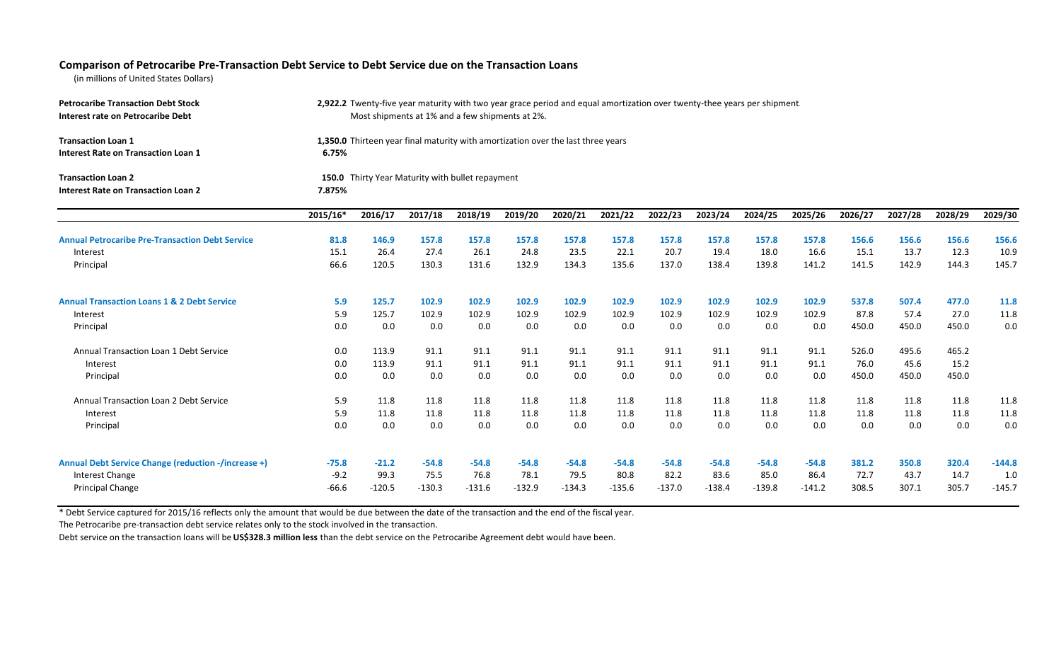## Comparison of Petrocaribe Pre-Transaction Debt Service to Debt Service due on the Transaction Loans

(in millions of United States Dollars)

| <b>Petrocaribe Transaction Debt Stock</b><br>Interest rate on Petrocaribe Debt | 2,922.2 Twenty-five year maturity with two year grace period and equal amortization over twenty-thee years per shipment.<br>Most shipments at 1% and a few shipments at 2%. |          |          |          |          |          |          |          |          |          |          |         |         |         |                 |
|--------------------------------------------------------------------------------|-----------------------------------------------------------------------------------------------------------------------------------------------------------------------------|----------|----------|----------|----------|----------|----------|----------|----------|----------|----------|---------|---------|---------|-----------------|
| <b>Transaction Loan 1</b><br><b>Interest Rate on Transaction Loan 1</b>        | 1,350.0 Thirteen year final maturity with amortization over the last three years<br>6.75%                                                                                   |          |          |          |          |          |          |          |          |          |          |         |         |         |                 |
| <b>Transaction Loan 2</b><br><b>Interest Rate on Transaction Loan 2</b>        | 150.0 Thirty Year Maturity with bullet repayment<br>7.875%                                                                                                                  |          |          |          |          |          |          |          |          |          |          |         |         |         |                 |
|                                                                                | 2015/16*                                                                                                                                                                    | 2016/17  | 2017/18  | 2018/19  | 2019/20  | 2020/21  | 2021/22  | 2022/23  | 2023/24  | 2024/25  | 2025/26  | 2026/27 | 2027/28 | 2028/29 | 2029/30         |
| <b>Annual Petrocaribe Pre-Transaction Debt Service</b>                         | 81.8                                                                                                                                                                        | 146.9    | 157.8    | 157.8    | 157.8    | 157.8    | 157.8    | 157.8    | 157.8    | 157.8    | 157.8    | 156.6   | 156.6   | 156.6   | 156.6           |
| Interest                                                                       | 15.1                                                                                                                                                                        | 26.4     | 27.4     | 26.1     | 24.8     | 23.5     | 22.1     | 20.7     | 19.4     | 18.0     | 16.6     | 15.1    | 13.7    | 12.3    | 10.9            |
| Principal                                                                      | 66.6                                                                                                                                                                        | 120.5    | 130.3    | 131.6    | 132.9    | 134.3    | 135.6    | 137.0    | 138.4    | 139.8    | 141.2    | 141.5   | 142.9   | 144.3   | 145.7           |
| <b>Annual Transaction Loans 1 &amp; 2 Debt Service</b>                         | 5.9                                                                                                                                                                         | 125.7    | 102.9    | 102.9    | 102.9    | 102.9    | 102.9    | 102.9    | 102.9    | 102.9    | 102.9    | 537.8   | 507.4   | 477.0   | 11.8            |
| Interest                                                                       | 5.9                                                                                                                                                                         | 125.7    | 102.9    | 102.9    | 102.9    | 102.9    | 102.9    | 102.9    | 102.9    | 102.9    | 102.9    | 87.8    | 57.4    | 27.0    | 11.8            |
| Principal                                                                      | 0.0                                                                                                                                                                         | 0.0      | 0.0      | 0.0      | 0.0      | 0.0      | 0.0      | 0.0      | 0.0      | 0.0      | 0.0      | 450.0   | 450.0   | 450.0   | 0. <sub>C</sub> |
| Annual Transaction Loan 1 Debt Service                                         | 0.0                                                                                                                                                                         | 113.9    | 91.1     | 91.1     | 91.1     | 91.1     | 91.1     | 91.1     | 91.1     | 91.1     | 91.1     | 526.0   | 495.6   | 465.2   |                 |
| Interest                                                                       | 0.0                                                                                                                                                                         | 113.9    | 91.1     | 91.1     | 91.1     | 91.1     | 91.1     | 91.1     | 91.1     | 91.1     | 91.1     | 76.0    | 45.6    | 15.2    |                 |
| Principal                                                                      | 0.0                                                                                                                                                                         | 0.0      | 0.0      | 0.0      | 0.0      | 0.0      | 0.0      | 0.0      | 0.0      | 0.0      | 0.0      | 450.0   | 450.0   | 450.0   |                 |
| Annual Transaction Loan 2 Debt Service                                         | 5.9                                                                                                                                                                         | 11.8     | 11.8     | 11.8     | 11.8     | 11.8     | 11.8     | 11.8     | 11.8     | 11.8     | 11.8     | 11.8    | 11.8    | 11.8    | 11.8            |
| Interest                                                                       | 5.9                                                                                                                                                                         | 11.8     | 11.8     | 11.8     | 11.8     | 11.8     | 11.8     | 11.8     | 11.8     | 11.8     | 11.8     | 11.8    | 11.8    | 11.8    | 11.8            |
| Principal                                                                      | 0.0                                                                                                                                                                         | 0.0      | 0.0      | 0.0      | 0.0      | 0.0      | 0.0      | 0.0      | 0.0      | 0.0      | 0.0      | 0.0     | 0.0     | 0.0     | 0.0             |
| <b>Annual Debt Service Change (reduction -/increase +)</b>                     | $-75.8$                                                                                                                                                                     | $-21.2$  | $-54.8$  | $-54.8$  | $-54.8$  | $-54.8$  | $-54.8$  | $-54.8$  | $-54.8$  | $-54.8$  | $-54.8$  | 381.2   | 350.8   | 320.4   | $-144.8$        |
| Interest Change                                                                | $-9.2$                                                                                                                                                                      | 99.3     | 75.5     | 76.8     | 78.1     | 79.5     | 80.8     | 82.2     | 83.6     | 85.0     | 86.4     | 72.7    | 43.7    | 14.7    | 1. <sub>C</sub> |
| <b>Principal Change</b>                                                        | $-66.6$                                                                                                                                                                     | $-120.5$ | $-130.3$ | $-131.6$ | $-132.9$ | $-134.3$ | $-135.6$ | $-137.0$ | $-138.4$ | $-139.8$ | $-141.2$ | 308.5   | 307.1   | 305.7   | $-145.7$        |

\* Debt Service captured for 2015/16 reflects only the amount that would be due between the date of the transaction and the end of the fiscal year.

The Petrocaribe pre-transaction debt service relates only to the stock involved in the transaction.

Debt service on the transaction loans will be **US\$328.3 million less** than the debt service on the Petrocaribe Agreement debt would have been.